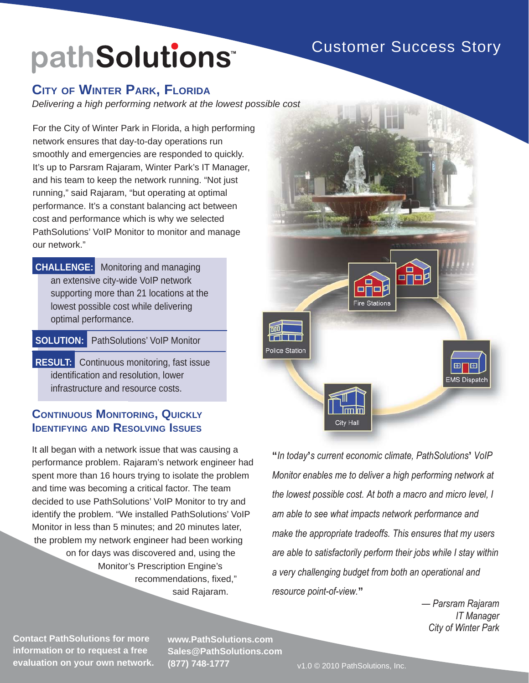## Customer Success Story

# pathSolutions<sup>®</sup>

#### **CITY OF WINTER PARK, FLORIDA**

*Delivering a high performing network at the lowest possible cost*

For the City of Winter Park in Florida, a high performing network ensures that day-to-day operations run smoothly and emergencies are responded to quickly. It's up to Parsram Rajaram, Winter Park's IT Manager, and his team to keep the network running. "Not just running," said Rajaram, "but operating at optimal performance. It's a constant balancing act between cost and performance which is why we selected PathSolutions' VoIP Monitor to monitor and manage our network."

**CHALLENGE:** Monitoring and managing an extensive city-wide VoIP network supporting more than 21 locations at the lowest possible cost while delivering optimal performance.

**SOLUTION:** PathSolutions' VoIP Monitor

**RESULT:** Continuous monitoring, fast issue identification and resolution, lower infrastructure and resource costs.

#### **CONTINUOUS MONITORING, QUICKLY IDENTIFYING AND RESOLVING ISSUES**

It all began with a network issue that was causing a performance problem. Rajaram's network engineer had spent more than 16 hours trying to isolate the problem and time was becoming a critical factor. The team decided to use PathSolutions' VoIP Monitor to try and identify the problem. "We installed PathSolutions' VoIP Monitor in less than 5 minutes; and 20 minutes later, the problem my network engineer had been working on for days was discovered and, using the Monitor's Prescription Engine's recommendations, fixed," said Rajaram.



"In today's current economic climate, PathSolutions' VoIP Monitor enables me to deliver a high performing network at the lowest possible cost. At both a macro and micro level, I am able to see what impacts network performance and make the appropriate tradeoffs. This ensures that my users are able to satisfactorily perform their jobs while I stay within a very challenging budget from both an operational and **"**

> — Parsram Rajaram **IT Manager** City of Winter Park

**Contact PathSolutions for more information or to request a free evaluation on your own network.**

**www.PathSolutions.com Sales@PathSolutions.com (877) 748-1777**

v1.0 © 2010 PathSolutions, Inc.